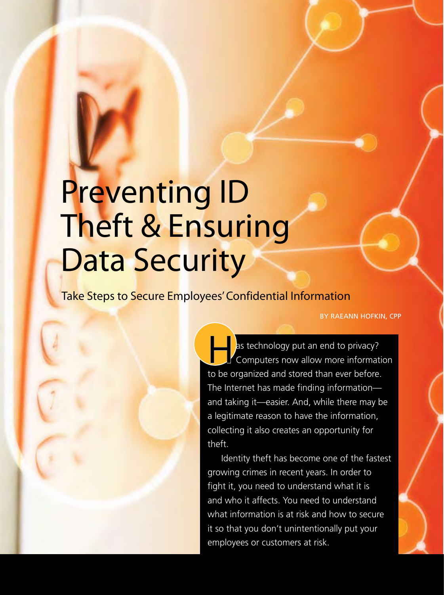# Preventing ID Theft & Ensuring Data Security

Take Steps to Secure Employees' Confidential Information

By Raeann Hofkin, CPP

as technology put an end to privacy? Computers now allow more information to be organized and stored than ever before. The Internet has made finding information and taking it—easier. And, while there may be a legitimate reason to have the information, collecting it also creates an opportunity for theft.

Identity theft has become one of the fastest growing crimes in recent years. In order to fight it, you need to understand what it is and who it affects. You need to understand what information is at risk and how to secure it so that you don't unintentionally put your employees or customers at risk.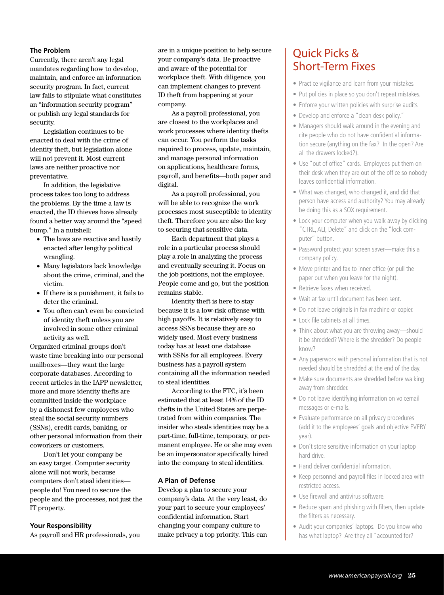#### **The Problem**

Currently, there aren't any legal mandates regarding how to develop, maintain, and enforce an information security program. In fact, current law fails to stipulate what constitutes an "information security program" or publish any legal standards for security.

Legislation continues to be enacted to deal with the crime of identity theft, but legislation alone will not prevent it. Most current laws are neither proactive nor preventative.

In addition, the legislative process takes too long to address the problems. By the time a law is enacted, the ID thieves have already found a better way around the "speed bump." In a nutshell:

- The laws are reactive and hastily enacted after lengthy political wrangling.
- • Many legislators lack knowledge about the crime, criminal, and the victim.
- • If there is a punishment, it fails to deter the criminal.
- • You often can't even be convicted of identity theft unless you are involved in some other criminal activity as well.

Organized criminal groups don't waste time breaking into our personal mailboxes—they want the large corporate databases. According to recent articles in the IAPP newsletter, more and more identity thefts are committed inside the workplace by a dishonest few employees who steal the social security numbers (SSNs), credit cards, banking, or other personal information from their coworkers or customers.

Don't let your company be an easy target. Computer security alone will not work, because computers don't steal identities people do! You need to secure the people and the processes, not just the IT property.

#### **Your Responsibility**

As payroll and HR professionals, you

are in a unique position to help secure your company's data. Be proactive and aware of the potential for workplace theft. With diligence, you can implement changes to prevent ID theft from happening at your company.

As a payroll professional, you are closest to the workplaces and work processes where identity thefts can occur. You perform the tasks required to process, update, maintain, and manage personal information on applications, healthcare forms, payroll, and benefits—both paper and digital.

As a payroll professional, you will be able to recognize the work processes most susceptible to identity theft. Therefore you are also the key to securing that sensitive data.

Each department that plays a role in a particular process should play a role in analyzing the process and eventually securing it. Focus on the job positions, not the employee. People come and go, but the position remains stable.

Identity theft is here to stay because it is a low-risk offense with high payoffs. It is relatively easy to access SSNs because they are so widely used. Most every business today has at least one database with SSNs for all employees. Every business has a payroll system containing all the information needed to steal identities.

According to the FTC, it's been estimated that at least 14% of the ID thefts in the United States are perpetrated from within companies. The insider who steals identities may be a part-time, full-time, temporary, or permanent employee. He or she may even be an impersonator specifically hired into the company to steal identities.

#### **A Plan of Defense**

Develop a plan to secure your company's data. At the very least, do your part to secure your employees' confidential information. Start changing your company culture to make privacy a top priority. This can

## Quick Picks & Short-Term Fixes

- Practice vigilance and learn from your mistakes.
- Put policies in place so you don't repeat mistakes.
- Enforce your written policies with surprise audits.
- Develop and enforce a "clean desk policy."
- Managers should walk around in the evening and cite people who do not have confidential information secure (anything on the fax? In the open? Are all the drawers locked?).
- Use "out of office" cards. Employees put them on their desk when they are out of the office so nobody leaves confidential information.
- What was changed, who changed it, and did that person have access and authority? You may already be doing this as a SOX requirement.
- Lock your computer when you walk away by clicking "CTRL, ALT, Delete" and click on the "lock computer" button.
- Password protect your screen saver—make this a company policy.
- Move printer and fax to inner office (or pull the paper out when you leave for the night).
- Retrieve faxes when received.
- Wait at fax until document has been sent.
- Do not leave originals in fax machine or copier.
- Lock file cabinets at all times.
- Think about what you are throwing away—should it be shredded? Where is the shredder? Do people know?
- Any paperwork with personal information that is not needed should be shredded at the end of the day.
- Make sure documents are shredded before walking away from shredder.
- Do not leave identifying information on voicemail messages or e-mails.
- Evaluate performance on all privacy procedures (add it to the employees' goals and objective EVERY year).
- Don't store sensitive information on your laptop hard drive.
- Hand deliver confidential information.
- Keep personnel and payroll files in locked area with restricted access.
- Use firewall and antivirus software.
- Reduce spam and phishing with filters, then update the filters as necessary.
- Audit your companies' laptops. Do you know who has what laptop? Are they all "accounted for?